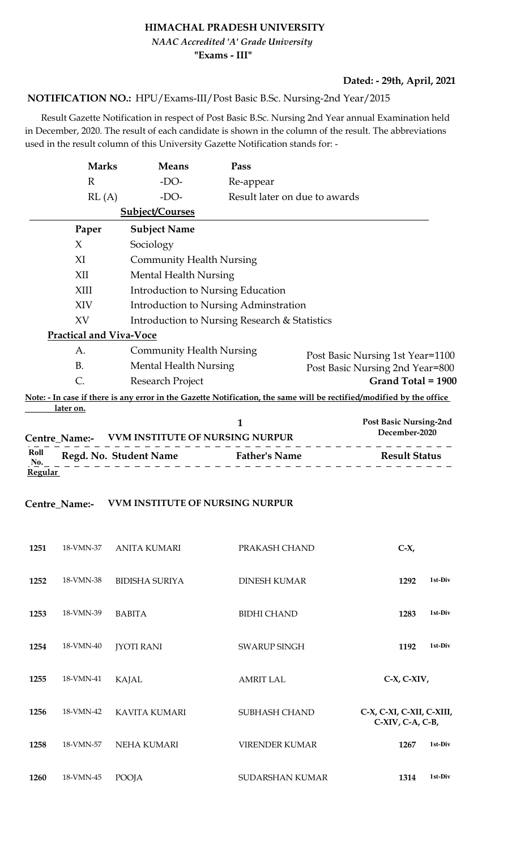### **HIMACHAL PRADESH UNIVERSITY**

#### *NAAC Accredited 'A' Grade University* **"Exams - III"**

# **Dated: - 29th, April, 2021**

#### **NOTIFICATION NO.:** HPU/Exams-III/Post Basic B.Sc. Nursing-2nd Year/2015

 Result Gazette Notification in respect of Post Basic B.Sc. Nursing 2nd Year annual Examination held in December, 2020. The result of each candidate is shown in the column of the result. The abbreviations used in the result column of this University Gazette Notification stands for: -

|             | <b>Marks</b>     | <b>Means</b>                    | Pass                                          |                                                                                                                      |
|-------------|------------------|---------------------------------|-----------------------------------------------|----------------------------------------------------------------------------------------------------------------------|
|             | $\mathbb{R}$     | $-DO-$                          | Re-appear                                     |                                                                                                                      |
|             | RL(A)            | $-DO-$                          | Result later on due to awards                 |                                                                                                                      |
|             |                  | <b>Subject/Courses</b>          |                                               |                                                                                                                      |
|             | Paper            | <b>Subject Name</b>             |                                               |                                                                                                                      |
|             | $\chi$           | Sociology                       |                                               |                                                                                                                      |
|             | XI               | <b>Community Health Nursing</b> |                                               |                                                                                                                      |
|             | XII              | <b>Mental Health Nursing</b>    |                                               |                                                                                                                      |
|             | XIII             |                                 | Introduction to Nursing Education             |                                                                                                                      |
|             | <b>XIV</b>       |                                 | Introduction to Nursing Adminstration         |                                                                                                                      |
|             | XV               |                                 | Introduction to Nursing Research & Statistics |                                                                                                                      |
|             |                  | <b>Practical and Viva-Voce</b>  |                                               |                                                                                                                      |
|             | A.               | <b>Community Health Nursing</b> |                                               | Post Basic Nursing 1st Year=1100                                                                                     |
|             | <b>B.</b>        | <b>Mental Health Nursing</b>    |                                               | Post Basic Nursing 2nd Year=800                                                                                      |
|             | $\mathsf{C}$ .   | Research Project                |                                               | Grand Total = 1900                                                                                                   |
|             |                  |                                 |                                               | Note: - In case if there is any error in the Gazette Notification, the same will be rectified/modified by the office |
|             | <u>later on.</u> |                                 |                                               |                                                                                                                      |
|             |                  |                                 | $\mathbf{1}$                                  | Post Basic Nursing-2nd<br>December-2020                                                                              |
|             | Centre_Name:-    | VVM INSTITUTE OF NURSING NURPUR |                                               |                                                                                                                      |
| Roll<br>No. |                  | Regd. No. Student Name          | <b>Father's Name</b>                          | <b>Result Status</b>                                                                                                 |
|             | Centre Name:-    | VVM INSTITUTE OF NURSING NURPUR |                                               |                                                                                                                      |
| 1251        | 18-VMN-37        | <b>ANITA KUMARI</b>             | PRAKASH CHAND                                 | $C-X$                                                                                                                |
| 1252        | 18-VMN-38        | <b>BIDISHA SURIYA</b>           | <b>DINESH KUMAR</b>                           | 1st-Div<br>1292                                                                                                      |
| 1253        | 18-VMN-39        | <b>BABITA</b>                   | <b>BIDHI CHAND</b>                            | 1st-Div<br>1283                                                                                                      |
| 1254        | 18-VMN-40        | <b>JYOTI RANI</b>               | <b>SWARUP SINGH</b>                           | 1st-Div<br>1192                                                                                                      |
| 1255        | 18-VMN-41        | KAJAL                           | <b>AMRIT LAL</b>                              | $C-X$ , $C-XIV$ ,                                                                                                    |
| 1256        | 18-VMN-42        | <b>KAVITA KUMARI</b>            | SUBHASH CHAND                                 | C-X, C-XI, C-XII, C-XIII,<br>$C-XIV$ , $C-A$ , $C-B$ ,                                                               |
| 1258        | 18-VMN-57        | NEHA KUMARI                     | VIRENDER KUMAR                                | 1st-Div<br>1267                                                                                                      |
| 1260        | 18-VMN-45        | POOJA                           | SUDARSHAN KUMAR                               | 1st-Div<br>1314                                                                                                      |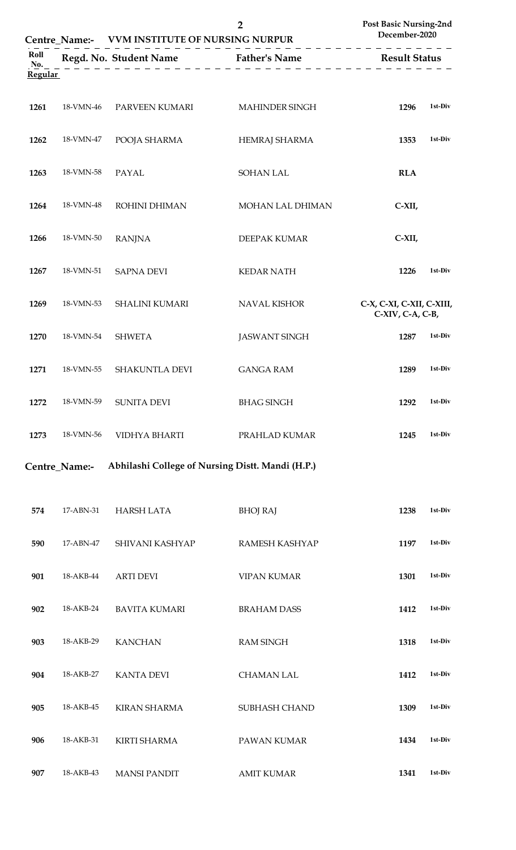|                               | Centre_Name:- | VVM INSTITUTE OF NURSING NURPUR                  | $\overline{2}$                                     | <b>Post Basic Nursing-2nd</b><br>December-2020 |
|-------------------------------|---------------|--------------------------------------------------|----------------------------------------------------|------------------------------------------------|
| Roll<br>No.<br><b>Regular</b> |               |                                                  | Regd. No. Student Name Father's Name Result Status |                                                |
| 1261                          | 18-VMN-46     | PARVEEN KUMARI                                   | <b>MAHINDER SINGH</b>                              | 1st-Div<br>1296                                |
| 1262                          | 18-VMN-47     | POOJA SHARMA                                     | <b>HEMRAJ SHARMA</b>                               | 1st-Div<br>1353                                |
| 1263                          | 18-VMN-58     | PAYAL                                            | <b>SOHAN LAL</b>                                   | <b>RLA</b>                                     |
| 1264                          | 18-VMN-48     | ROHINI DHIMAN                                    | MOHAN LAL DHIMAN                                   | $C-XII$ ,                                      |
| 1266                          | 18-VMN-50     | <b>RANJNA</b>                                    | <b>DEEPAK KUMAR</b>                                | $C-XII,$                                       |
| 1267                          | 18-VMN-51     | <b>SAPNA DEVI</b>                                | <b>KEDAR NATH</b>                                  | 1226<br>1st-Div                                |
| 1269                          | 18-VMN-53     | <b>SHALINI KUMARI</b>                            | <b>NAVAL KISHOR</b>                                | C-X, C-XI, C-XII, C-XIII,<br>C-XIV, C-A, C-B,  |
| 1270                          | 18-VMN-54     | <b>SHWETA</b>                                    | <b>JASWANT SINGH</b>                               | 1st-Div<br>1287                                |
| 1271                          | 18-VMN-55     | <b>SHAKUNTLA DEVI</b>                            | <b>GANGA RAM</b>                                   | 1st-Div<br>1289                                |
| 1272                          | 18-VMN-59     | <b>SUNITA DEVI</b>                               | <b>BHAG SINGH</b>                                  | 1st-Div<br>1292                                |
| 1273                          | 18-VMN-56     | VIDHYA BHARTI                                    | PRAHLAD KUMAR                                      | 1st-Div<br>1245                                |
|                               | Centre_Name:- | Abhilashi College of Nursing Distt. Mandi (H.P.) |                                                    |                                                |
| 574                           | 17-ABN-31     | <b>HARSH LATA</b>                                | <b>BHOJ RAJ</b>                                    | 1238<br>1st-Div                                |
| 590                           | 17-ABN-47     | SHIVANI KASHYAP                                  | RAMESH KASHYAP                                     | 1st-Div<br>1197                                |
| 901                           | 18-AKB-44     | <b>ARTI DEVI</b>                                 | <b>VIPAN KUMAR</b>                                 | 1st-Div<br>1301                                |
| 902                           | 18-AKB-24     | <b>BAVITA KUMARI</b>                             | <b>BRAHAM DASS</b>                                 | 1st-Div<br>1412                                |
| 903                           | 18-AKB-29     | <b>KANCHAN</b>                                   | <b>RAM SINGH</b>                                   | 1st-Div<br>1318                                |
| 904                           | 18-AKB-27     | <b>KANTA DEVI</b>                                | <b>CHAMAN LAL</b>                                  | 1st-Div<br>1412                                |
| 905                           | 18-AKB-45     | <b>KIRAN SHARMA</b>                              | SUBHASH CHAND                                      | 1st-Div<br>1309                                |
| 906                           | 18-AKB-31     | <b>KIRTI SHARMA</b>                              | PAWAN KUMAR                                        | 1st-Div<br>1434                                |
| 907                           | 18-AKB-43     | <b>MANSI PANDIT</b>                              | <b>AMIT KUMAR</b>                                  | 1st-Div<br>1341                                |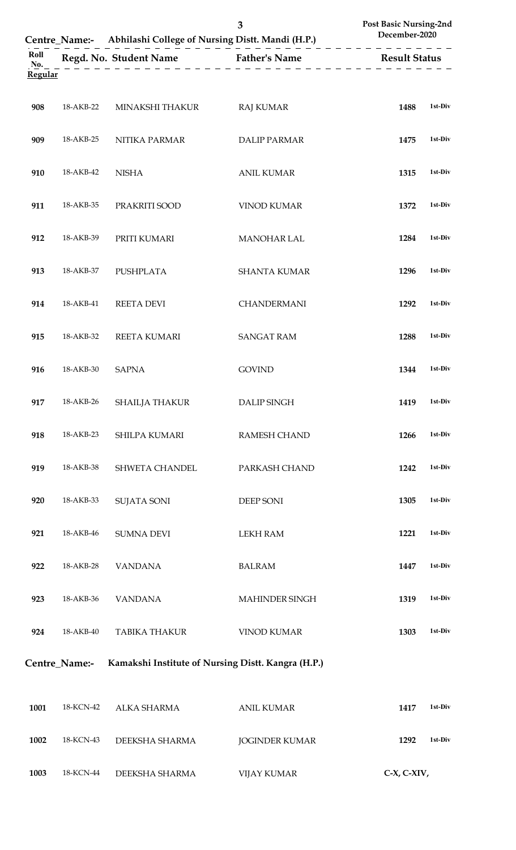|                               |               | Centre_Name:- Abhilashi College of Nursing Distt. Mandi (H.P.) | 3                                                                                                                   | <b>Post Basic Nursing-2nd</b><br>December-2020 |         |
|-------------------------------|---------------|----------------------------------------------------------------|---------------------------------------------------------------------------------------------------------------------|------------------------------------------------|---------|
| Roll<br>No.<br><b>Regular</b> |               |                                                                | Regd. No. Student Name<br>$\frac{1}{2}$ Father's Name<br>$\frac{1}{2}$ Result Status<br>$\frac{1}{2}$ Result Status |                                                |         |
| 908                           | 18-AKB-22     | MINAKSHI THAKUR                                                | <b>RAJ KUMAR</b>                                                                                                    | 1488                                           | 1st-Div |
| 909                           | 18-AKB-25     | NITIKA PARMAR                                                  | <b>DALIP PARMAR</b>                                                                                                 | 1475                                           | 1st-Div |
| 910                           | 18-AKB-42     | <b>NISHA</b>                                                   | <b>ANIL KUMAR</b>                                                                                                   | 1315                                           | 1st-Div |
| 911                           | 18-AKB-35     | PRAKRITI SOOD                                                  | <b>VINOD KUMAR</b>                                                                                                  | 1372                                           | 1st-Div |
| 912                           | 18-AKB-39     | PRITI KUMARI                                                   | <b>MANOHAR LAL</b>                                                                                                  | 1284                                           | 1st-Div |
| 913                           | 18-AKB-37     | PUSHPLATA                                                      | <b>SHANTA KUMAR</b>                                                                                                 | 1296                                           | 1st-Div |
| 914                           | 18-AKB-41     | <b>REETA DEVI</b>                                              | CHANDERMANI                                                                                                         | 1292                                           | 1st-Div |
| 915                           | 18-AKB-32     | <b>REETA KUMARI</b>                                            | <b>SANGAT RAM</b>                                                                                                   | 1288                                           | 1st-Div |
| 916                           | 18-AKB-30     | <b>SAPNA</b>                                                   | <b>GOVIND</b>                                                                                                       | 1344                                           | 1st-Div |
| 917                           | 18-AKB-26     | <b>SHAILJA THAKUR</b>                                          | <b>DALIP SINGH</b>                                                                                                  | 1419                                           | 1st-Div |
| 918                           | 18-AKB-23     | <b>SHILPA KUMARI</b>                                           | <b>RAMESH CHAND</b>                                                                                                 | 1266                                           | 1st-Div |
| 919                           | 18-AKB-38     | SHWETA CHANDEL                                                 | PARKASH CHAND                                                                                                       | 1242                                           | 1st-Div |
| 920                           | 18-AKB-33     | <b>SUJATA SONI</b>                                             | <b>DEEP SONI</b>                                                                                                    | 1305                                           | 1st-Div |
| 921                           | 18-AKB-46     | <b>SUMNA DEVI</b>                                              | <b>LEKH RAM</b>                                                                                                     | 1221                                           | 1st-Div |
| 922                           | 18-AKB-28     | <b>VANDANA</b>                                                 | <b>BALRAM</b>                                                                                                       | 1447                                           | 1st-Div |
| 923                           | 18-AKB-36     | <b>VANDANA</b>                                                 | MAHINDER SINGH                                                                                                      | 1319                                           | 1st-Div |
| 924                           | 18-AKB-40     | <b>TABIKA THAKUR</b>                                           | <b>VINOD KUMAR</b>                                                                                                  | 1303                                           | 1st-Div |
|                               | Centre_Name:- | Kamakshi Institute of Nursing Distt. Kangra (H.P.)             |                                                                                                                     |                                                |         |
| 1001                          | 18-KCN-42     | ALKA SHARMA                                                    | <b>ANIL KUMAR</b>                                                                                                   | 1417                                           | 1st-Div |
| 1002                          | 18-KCN-43     | DEEKSHA SHARMA                                                 | <b>JOGINDER KUMAR</b>                                                                                               | 1292                                           | 1st-Div |

18-KCN-44 DEEKSHA SHARMA VIJAY KUMAR **C-X, C-XIV,**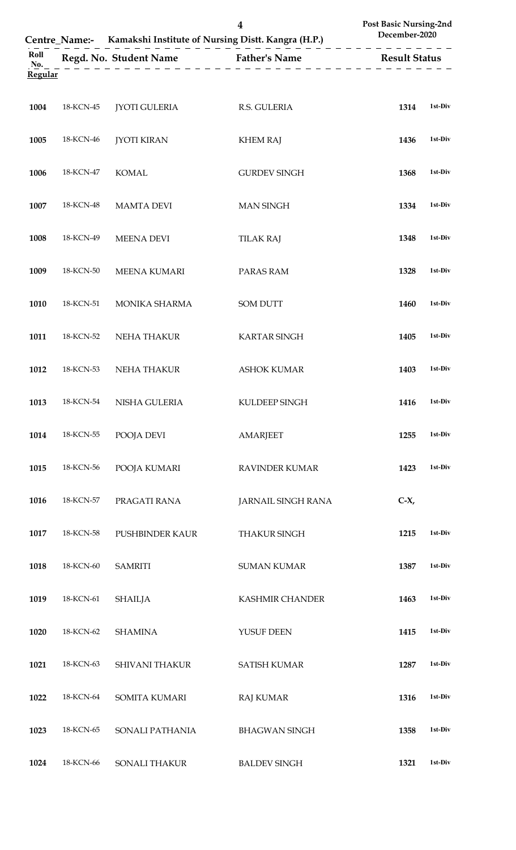|                               |           |                      | $\overline{\mathbf{4}}$<br>Centre_Name:- Kamakshi Institute of Nursing Distt. Kangra (H.P.) | <b>Post Basic Nursing-2nd</b><br>December-2020 |
|-------------------------------|-----------|----------------------|---------------------------------------------------------------------------------------------|------------------------------------------------|
| Roll<br>No.<br><b>Regular</b> |           |                      |                                                                                             | <b>Result Status</b>                           |
| 1004                          | 18-KCN-45 | <b>JYOTI GULERIA</b> | R.S. GULERIA                                                                                | 1st-Div<br>1314                                |
| 1005                          | 18-KCN-46 | <b>JYOTI KIRAN</b>   | <b>KHEM RAJ</b>                                                                             | 1st-Div<br>1436                                |
| 1006                          | 18-KCN-47 | <b>KOMAL</b>         | <b>GURDEV SINGH</b>                                                                         | 1st-Div<br>1368                                |
| 1007                          | 18-KCN-48 | <b>MAMTA DEVI</b>    | <b>MAN SINGH</b>                                                                            | 1st-Div<br>1334                                |
| 1008                          | 18-KCN-49 | <b>MEENA DEVI</b>    | <b>TILAK RAJ</b>                                                                            | 1st-Div<br>1348                                |
| 1009                          | 18-KCN-50 | MEENA KUMARI         | PARAS RAM                                                                                   | 1st-Div<br>1328                                |
| 1010                          | 18-KCN-51 | MONIKA SHARMA        | <b>SOM DUTT</b>                                                                             | 1st-Div<br>1460                                |
| 1011                          | 18-KCN-52 | NEHA THAKUR          | <b>KARTAR SINGH</b>                                                                         | 1st-Div<br>1405                                |
| 1012                          | 18-KCN-53 | NEHA THAKUR          | <b>ASHOK KUMAR</b>                                                                          | 1st-Div<br>1403                                |
| 1013                          | 18-KCN-54 | NISHA GULERIA        | KULDEEP SINGH                                                                               | 1st-Div<br>1416                                |
| 1014                          | 18-KCN-55 | POOJA DEVI           | <b>AMARJEET</b>                                                                             | 1st-Div<br>1255                                |
| 1015                          | 18-KCN-56 | POOJA KUMARI         | <b>RAVINDER KUMAR</b>                                                                       | 1st-Div<br>1423                                |
| 1016                          | 18-KCN-57 | PRAGATI RANA         | <b>JARNAIL SINGH RANA</b>                                                                   | $C-X$                                          |
| 1017                          | 18-KCN-58 | PUSHBINDER KAUR      | <b>THAKUR SINGH</b>                                                                         | 1215<br>1st-Div                                |
| 1018                          | 18-KCN-60 | <b>SAMRITI</b>       | <b>SUMAN KUMAR</b>                                                                          | 1st-Div<br>1387                                |
| 1019                          | 18-KCN-61 | <b>SHAILJA</b>       | <b>KASHMIR CHANDER</b>                                                                      | 1st-Div<br>1463                                |
| 1020                          | 18-KCN-62 | <b>SHAMINA</b>       | YUSUF DEEN                                                                                  | 1st-Div<br>1415                                |
| 1021                          | 18-KCN-63 | SHIVANI THAKUR       | <b>SATISH KUMAR</b>                                                                         | 1287<br>1st-Div                                |
| 1022                          | 18-KCN-64 | SOMITA KUMARI        | <b>RAJ KUMAR</b>                                                                            | 1st-Div<br>1316                                |
| 1023                          | 18-KCN-65 | SONALI PATHANIA      | <b>BHAGWAN SINGH</b>                                                                        | 1st-Div<br>1358                                |
| 1024                          | 18-KCN-66 | SONALI THAKUR        | <b>BALDEV SINGH</b>                                                                         | 1st-Div<br>1321                                |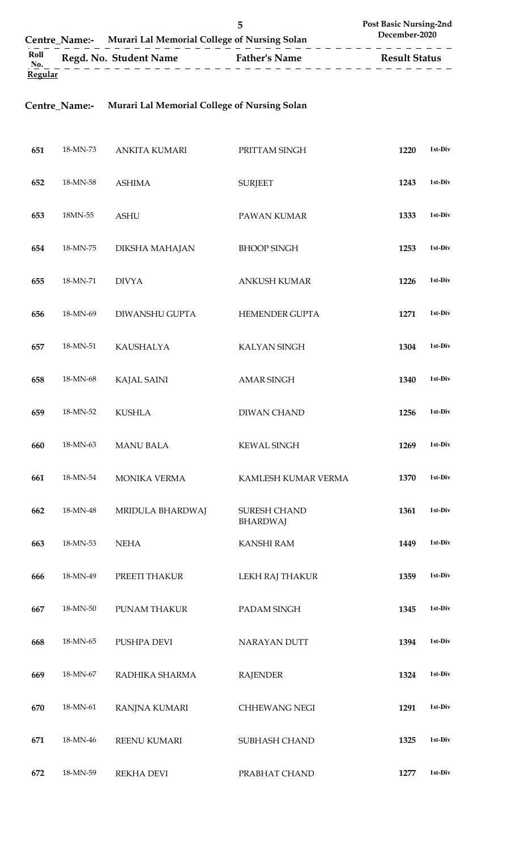|                                                               |                      | <b>Post Basic Nursing-2nd</b> |
|---------------------------------------------------------------|----------------------|-------------------------------|
| Murari Lal Memorial College of Nursing Solan<br>Centre Name:- |                      | December-2020                 |
| Roll<br>Regd. No. Student Name<br>No.                         | <b>Father's Name</b> | <b>Result Status</b>          |
| <b>Regular</b>                                                |                      |                               |

# **Centre\_Name:- Murari Lal Memorial College of Nursing Solan**

| 651 | 18-MN-73 | <b>ANKITA KUMARI</b> | PRITTAM SINGH                   | 1220 | 1st-Div |
|-----|----------|----------------------|---------------------------------|------|---------|
| 652 | 18-MN-58 | <b>ASHIMA</b>        | <b>SURJEET</b>                  | 1243 | 1st-Div |
| 653 | 18MN-55  | <b>ASHU</b>          | PAWAN KUMAR                     | 1333 | 1st-Div |
| 654 | 18-MN-75 | DIKSHA MAHAJAN       | <b>BHOOP SINGH</b>              | 1253 | 1st-Div |
| 655 | 18-MN-71 | <b>DIVYA</b>         | ANKUSH KUMAR                    | 1226 | 1st-Div |
| 656 | 18-MN-69 | DIWANSHU GUPTA       | <b>HEMENDER GUPTA</b>           | 1271 | 1st-Div |
| 657 | 18-MN-51 | KAUSHALYA            | KALYAN SINGH                    | 1304 | 1st-Div |
| 658 | 18-MN-68 | <b>KAJAL SAINI</b>   | <b>AMAR SINGH</b>               | 1340 | 1st-Div |
| 659 | 18-MN-52 | <b>KUSHLA</b>        | <b>DIWAN CHAND</b>              | 1256 | 1st-Div |
| 660 | 18-MN-63 | <b>MANU BALA</b>     | <b>KEWAL SINGH</b>              | 1269 | 1st-Div |
| 661 | 18-MN-54 | MONIKA VERMA         | KAMLESH KUMAR VERMA             | 1370 | 1st-Div |
| 662 | 18-MN-48 | MRIDULA BHARDWAJ     | SURESH CHAND<br><b>BHARDWAJ</b> | 1361 | 1st-Div |
| 663 | 18-MN-53 | <b>NEHA</b>          | <b>KANSHI RAM</b>               | 1449 | 1st-Div |
| 666 | 18-MN-49 | PREETI THAKUR        | LEKH RAJ THAKUR                 | 1359 | 1st-Div |
| 667 | 18-MN-50 | PUNAM THAKUR         | PADAM SINGH                     | 1345 | 1st-Div |
| 668 | 18-MN-65 | PUSHPA DEVI          | NARAYAN DUTT                    | 1394 | 1st-Div |
| 669 | 18-MN-67 | RADHIKA SHARMA       | <b>RAJENDER</b>                 | 1324 | 1st-Div |
| 670 | 18-MN-61 | <b>RANJNA KUMARI</b> | <b>CHHEWANG NEGI</b>            | 1291 | 1st-Div |
| 671 | 18-MN-46 | <b>REENU KUMARI</b>  | SUBHASH CHAND                   | 1325 | 1st-Div |
| 672 | 18-MN-59 | <b>REKHA DEVI</b>    | PRABHAT CHAND                   | 1277 | 1st-Div |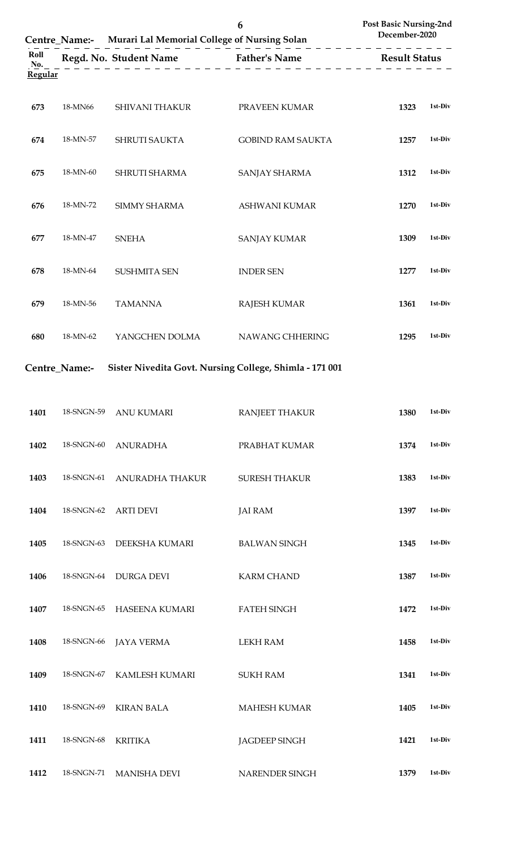|                |          | Centre_Name:- Murari Lal Memorial College of Nursing Solan | 6                        | Post Basic Nursing-2nd<br>December-2020 |         |
|----------------|----------|------------------------------------------------------------|--------------------------|-----------------------------------------|---------|
| Roll<br>No.    |          | Regd. No. Student Name Father's Name Result Status         |                          |                                         |         |
| <b>Regular</b> |          |                                                            |                          |                                         |         |
| 673            | 18-MN66  | <b>SHIVANI THAKUR</b>                                      | PRAVEEN KUMAR            | 1323                                    | 1st-Div |
| 674            | 18-MN-57 | SHRUTI SAUKTA                                              | <b>GOBIND RAM SAUKTA</b> | 1257                                    | 1st-Div |
| 675            | 18-MN-60 | SHRUTI SHARMA                                              | <b>SANJAY SHARMA</b>     | 1312                                    | 1st-Div |
| 676            | 18-MN-72 | <b>SIMMY SHARMA</b>                                        | <b>ASHWANI KUMAR</b>     | 1270                                    | 1st-Div |
| 677            | 18-MN-47 | <b>SNEHA</b>                                               | <b>SANJAY KUMAR</b>      | 1309                                    | 1st-Div |
| 678            | 18-MN-64 | <b>SUSHMITA SEN</b>                                        | <b>INDER SEN</b>         | 1277                                    | 1st-Div |
| 679            | 18-MN-56 | <b>TAMANNA</b>                                             | <b>RAJESH KUMAR</b>      | 1361                                    | 1st-Div |
| 680            | 18-MN-62 | YANGCHEN DOLMA                                             | NAWANG CHHERING          | 1295                                    | 1st-Div |
|                |          |                                                            |                          |                                         |         |

**Centre\_Name:- Sister Nivedita Govt. Nursing College, Shimla - 171 001**

| 1401 | 18-SNGN-59 | <b>ANU KUMARI</b>      | <b>RANJEET THAKUR</b> | 1380 | 1st-Div |
|------|------------|------------------------|-----------------------|------|---------|
| 1402 | 18-SNGN-60 | <b>ANURADHA</b>        | PRABHAT KUMAR         | 1374 | 1st-Div |
| 1403 | 18-SNGN-61 | <b>ANURADHA THAKUR</b> | <b>SURESH THAKUR</b>  | 1383 | 1st-Div |
| 1404 | 18-SNGN-62 | <b>ARTI DEVI</b>       | <b>JAI RAM</b>        | 1397 | 1st-Div |
| 1405 | 18-SNGN-63 | DEEKSHA KUMARI         | <b>BALWAN SINGH</b>   | 1345 | 1st-Div |
| 1406 | 18-SNGN-64 | <b>DURGA DEVI</b>      | <b>KARM CHAND</b>     | 1387 | 1st-Div |
| 1407 | 18-SNGN-65 | <b>HASEENA KUMARI</b>  | <b>FATEH SINGH</b>    | 1472 | 1st-Div |
| 1408 | 18-SNGN-66 | <b>JAYA VERMA</b>      | <b>LEKH RAM</b>       | 1458 | 1st-Div |
| 1409 | 18-SNGN-67 | KAMLESH KUMARI         | <b>SUKH RAM</b>       | 1341 | 1st-Div |
| 1410 | 18-SNGN-69 | <b>KIRAN BALA</b>      | <b>MAHESH KUMAR</b>   | 1405 | 1st-Div |
| 1411 | 18-SNGN-68 | <b>KRITIKA</b>         | <b>JAGDEEP SINGH</b>  | 1421 | 1st-Div |
| 1412 | 18-SNGN-71 | <b>MANISHA DEVI</b>    | NARENDER SINGH        | 1379 | 1st-Div |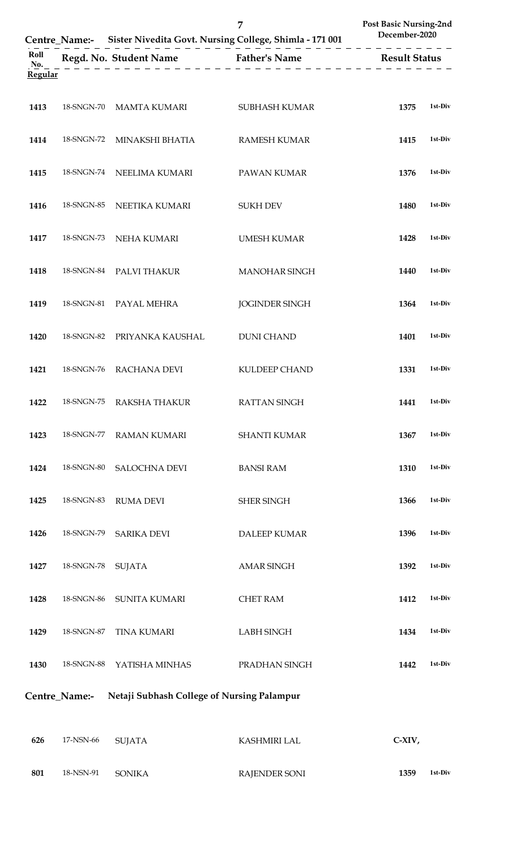|                |            |                        | 7<br>Centre_Name:- Sister Nivedita Govt. Nursing College, Shimla - 171 001                                          | Post Basic Nursing-2nd<br>December-2020 |
|----------------|------------|------------------------|---------------------------------------------------------------------------------------------------------------------|-----------------------------------------|
| Roll<br>No.    |            |                        | Regd. No. Student Name<br>$\frac{1}{2}$ Father's Name<br>$\frac{1}{2}$ Result Status<br>$\frac{1}{2}$ Result Status |                                         |
| <b>Regular</b> |            |                        |                                                                                                                     |                                         |
| 1413           | 18-SNGN-70 | <b>MAMTA KUMARI</b>    | SUBHASH KUMAR                                                                                                       | 1st-Div<br>1375                         |
| 1414           | 18-SNGN-72 | MINAKSHI BHATIA        | <b>RAMESH KUMAR</b>                                                                                                 | 1st-Div<br>1415                         |
| 1415           | 18-SNGN-74 | NEELIMA KUMARI         | PAWAN KUMAR                                                                                                         | 1st-Div<br>1376                         |
| 1416           | 18-SNGN-85 | NEETIKA KUMARI         | <b>SUKH DEV</b>                                                                                                     | 1st-Div<br>1480                         |
| 1417           | 18-SNGN-73 | NEHA KUMARI            | <b>UMESH KUMAR</b>                                                                                                  | 1st-Div<br>1428                         |
| 1418           | 18-SNGN-84 | PALVI THAKUR           | <b>MANOHAR SINGH</b>                                                                                                | 1440<br>1st-Div                         |
| 1419           |            | 18-SNGN-81 PAYAL MEHRA | <b>JOGINDER SINGH</b>                                                                                               | 1st-Div<br>1364                         |
| 1420           | 18-SNGN-82 | PRIYANKA KAUSHAL       | <b>DUNI CHAND</b>                                                                                                   | 1st-Div<br>1401                         |
| 1421           | 18-SNGN-76 | <b>RACHANA DEVI</b>    | KULDEEP CHAND                                                                                                       | 1st-Div<br>1331                         |
| 1422           | 18-SNGN-75 | <b>RAKSHA THAKUR</b>   | <b>RATTAN SINGH</b>                                                                                                 | 1st-Div<br>1441                         |
| 1423           | 18-SNGN-77 | <b>RAMAN KUMARI</b>    | <b>SHANTI KUMAR</b>                                                                                                 | 1st-Div<br>1367                         |
| 1424           | 18-SNGN-80 | <b>SALOCHNA DEVI</b>   | <b>BANSI RAM</b>                                                                                                    | 1st-Div<br>1310                         |
| 1425           | 18-SNGN-83 | <b>RUMA DEVI</b>       | <b>SHER SINGH</b>                                                                                                   | 1st-Div<br>1366                         |
| 1426           | 18-SNGN-79 | <b>SARIKA DEVI</b>     | DALEEP KUMAR                                                                                                        | 1396<br>1st-Div                         |
| 1427           | 18-SNGN-78 | <b>SUJATA</b>          | <b>AMAR SINGH</b>                                                                                                   | 1st-Div<br>1392                         |
| 1428           | 18-SNGN-86 | <b>SUNITA KUMARI</b>   | <b>CHET RAM</b>                                                                                                     | 1st-Div<br>1412                         |
| 1429           | 18-SNGN-87 | <b>TINA KUMARI</b>     | LABH SINGH                                                                                                          | 1st-Div<br>1434                         |
| 1430           | 18-SNGN-88 | YATISHA MINHAS         | PRADHAN SINGH                                                                                                       | 1st-Div<br>1442                         |

**Centre\_Name:- Netaji Subhash College of Nursing Palampur**

| 626 | 17-NSN-66 | SUJATA        | KASHMIRI LAL  | $C- XIV$ |         |
|-----|-----------|---------------|---------------|----------|---------|
| 801 | 18-NSN-91 | <b>SONIKA</b> | RAJENDER SONI | 1359     | 1st-Div |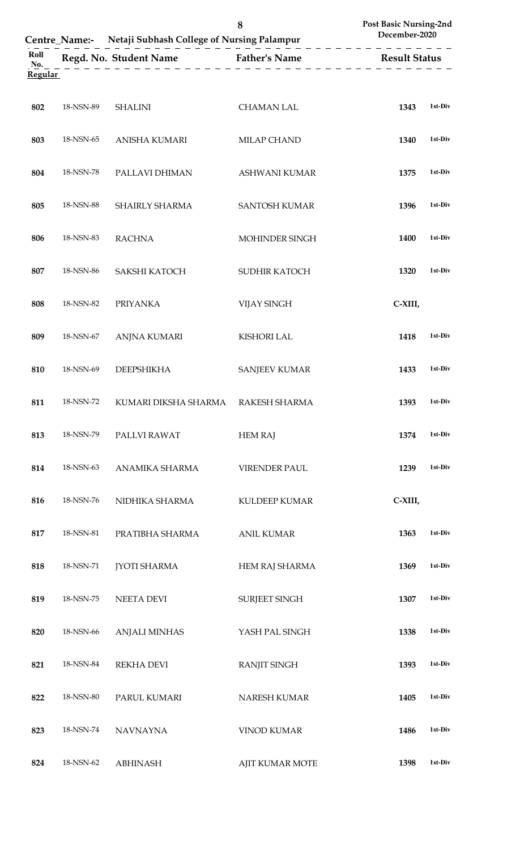|  | <b>Post Basic Nursing-2nd</b> |
|--|-------------------------------|
|--|-------------------------------|

|                |           | Centre Name:- Netaji Subhash College of Nursing Palampur |                        | December-2020 |         |
|----------------|-----------|----------------------------------------------------------|------------------------|---------------|---------|
| Roll<br>No.    |           | Regd. No. Student Name Father's Name Result Status       |                        |               |         |
| <b>Regular</b> |           |                                                          |                        |               |         |
| 802            | 18-NSN-89 | <b>SHALINI</b>                                           | <b>CHAMAN LAL</b>      | 1343          | 1st-Div |
| 803            | 18-NSN-65 | ANISHA KUMARI                                            | MILAP CHAND            | 1340          | 1st-Div |
| 804            | 18-NSN-78 | PALLAVI DHIMAN                                           | ASHWANI KUMAR          | 1375          | 1st-Div |
| 805            | 18-NSN-88 | SHAIRLY SHARMA                                           | <b>SANTOSH KUMAR</b>   | 1396          | 1st-Div |
| 806            | 18-NSN-83 | <b>RACHNA</b>                                            | MOHINDER SINGH         | 1400          | 1st-Div |
| 807            | 18-NSN-86 | SAKSHI KATOCH                                            | SUDHIR KATOCH          | 1320          | 1st-Div |
| 808            | 18-NSN-82 | <b>PRIYANKA</b>                                          | <b>VIJAY SINGH</b>     | C-XIII,       |         |
| 809            | 18-NSN-67 | <b>ANJNA KUMARI</b>                                      | <b>KISHORI LAL</b>     | 1418          | 1st-Div |
| 810            | 18-NSN-69 | <b>DEEPSHIKHA</b>                                        | <b>SANJEEV KUMAR</b>   | 1433          | 1st-Div |
| 811            | 18-NSN-72 | KUMARI DIKSHA SHARMA                                     | RAKESH SHARMA          | 1393          | 1st-Div |
| 813            | 18-NSN-79 | PALLVI RAWAT                                             | <b>HEM RAJ</b>         | 1374          | 1st-Div |
| 814            | 18-NSN-63 | ANAMIKA SHARMA                                           | <b>VIRENDER PAUL</b>   | 1239          | 1st-Div |
| 816            | 18-NSN-76 | NIDHIKA SHARMA                                           | <b>KULDEEP KUMAR</b>   | C-XIII,       |         |
| 817            | 18-NSN-81 | PRATIBHA SHARMA                                          | <b>ANIL KUMAR</b>      | 1363          | 1st-Div |
| 818            | 18-NSN-71 | <b>JYOTI SHARMA</b>                                      | <b>HEM RAJ SHARMA</b>  | 1369          | 1st-Div |
| 819            | 18-NSN-75 | <b>NEETA DEVI</b>                                        | SURJEET SINGH          | 1307          | 1st-Div |
| 820            | 18-NSN-66 | <b>ANJALI MINHAS</b>                                     | YASH PAL SINGH         | 1338          | 1st-Div |
| 821            | 18-NSN-84 | <b>REKHA DEVI</b>                                        | <b>RANJIT SINGH</b>    | 1393          | 1st-Div |
| 822            | 18-NSN-80 | PARUL KUMARI                                             | NARESH KUMAR           | 1405          | 1st-Div |
| 823            | 18-NSN-74 | <b>NAVNAYNA</b>                                          | <b>VINOD KUMAR</b>     | 1486          | 1st-Div |
| 824            | 18-NSN-62 | <b>ABHINASH</b>                                          | <b>AJIT KUMAR MOTE</b> | 1398          | 1st-Div |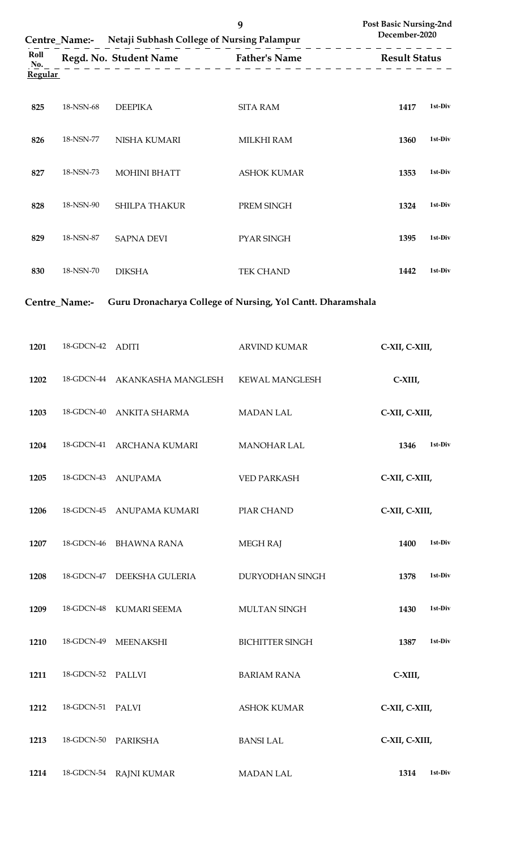| <b>Centre Name:-</b> |           | 9<br>Netaji Subhash College of Nursing Palampur |                    | Post Basic Nursing-2nd<br>December-2020 |  |
|----------------------|-----------|-------------------------------------------------|--------------------|-----------------------------------------|--|
| Roll<br>No.          |           | Regd. No. Student Name Father's Name            |                    | <b>Result Status</b>                    |  |
| <b>Regular</b>       |           |                                                 |                    |                                         |  |
| 825                  | 18-NSN-68 | <b>DEEPIKA</b>                                  | <b>SITA RAM</b>    | 1st-Div<br>1417                         |  |
| 826                  | 18-NSN-77 | NISHA KUMARI                                    | <b>MILKHI RAM</b>  | 1st-Div<br>1360                         |  |
| 827                  | 18-NSN-73 | <b>MOHINI BHATT</b>                             | <b>ASHOK KUMAR</b> | 1st-Div<br>1353                         |  |
| 828                  | 18-NSN-90 | <b>SHILPA THAKUR</b>                            | PREM SINGH         | 1st-Div<br>1324                         |  |
| 829                  | 18-NSN-87 | <b>SAPNA DEVI</b>                               | <b>PYAR SINGH</b>  | 1st-Div<br>1395                         |  |
| 830                  | 18-NSN-70 | <b>DIKSHA</b>                                   | <b>TEK CHAND</b>   | 1st-Div<br>1442                         |  |

**Centre\_Name:- Guru Dronacharya College of Nursing, Yol Cantt. Dharamshala** 

| 1201 | 18-GDCN-42 | <b>ADITI</b>        | <b>ARVIND KUMAR</b>    | C-XII, C-XIII,  |  |
|------|------------|---------------------|------------------------|-----------------|--|
| 1202 | 18-GDCN-44 | AKANKASHA MANGLESH  | <b>KEWAL MANGLESH</b>  | C-XIII,         |  |
| 1203 | 18-GDCN-40 | ANKITA SHARMA       | <b>MADAN LAL</b>       | C-XII, C-XIII,  |  |
| 1204 | 18-GDCN-41 | ARCHANA KUMARI      | <b>MANOHAR LAL</b>     | 1st-Div<br>1346 |  |
| 1205 | 18-GDCN-43 | <b>ANUPAMA</b>      | <b>VED PARKASH</b>     | C-XII, C-XIII,  |  |
| 1206 | 18-GDCN-45 | ANUPAMA KUMARI      | PIAR CHAND             | C-XII, C-XIII,  |  |
| 1207 | 18-GDCN-46 | <b>BHAWNA RANA</b>  | <b>MEGH RAJ</b>        | 1st-Div<br>1400 |  |
| 1208 | 18-GDCN-47 | DEEKSHA GULERIA     | DURYODHAN SINGH        | 1st-Div<br>1378 |  |
| 1209 | 18-GDCN-48 | <b>KUMARI SEEMA</b> | MULTAN SINGH           | 1st-Div<br>1430 |  |
| 1210 | 18-GDCN-49 | <b>MEENAKSHI</b>    | <b>BICHITTER SINGH</b> | 1st-Div<br>1387 |  |
| 1211 | 18-GDCN-52 | <b>PALLVI</b>       | <b>BARIAM RANA</b>     | C-XIII,         |  |
| 1212 | 18-GDCN-51 | PALVI               | <b>ASHOK KUMAR</b>     | C-XII, C-XIII,  |  |
| 1213 |            | 18-GDCN-50 PARIKSHA | <b>BANSI LAL</b>       | C-XII, C-XIII,  |  |
| 1214 | 18-GDCN-54 | <b>RAJNI KUMAR</b>  | <b>MADAN LAL</b>       | 1st-Div<br>1314 |  |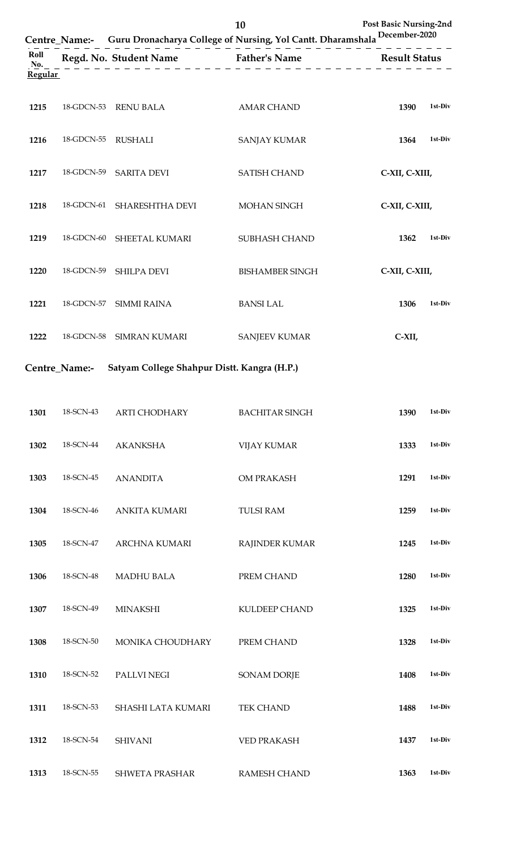|                |               |                                             | 10<br>Centre_Name:- Guru Dronacharya College of Nursing, Yol Cantt. Dharamshala December-2020 | <b>Post Basic Nursing-2nd</b> |
|----------------|---------------|---------------------------------------------|-----------------------------------------------------------------------------------------------|-------------------------------|
| Roll<br>No.    |               |                                             |                                                                                               | <b>Result Status</b>          |
| <b>Regular</b> |               |                                             |                                                                                               |                               |
| 1215           | 18-GDCN-53    | <b>RENU BALA</b>                            | <b>AMAR CHAND</b>                                                                             | 1st-Div<br>1390               |
| 1216           | 18-GDCN-55    | <b>RUSHALI</b>                              | <b>SANJAY KUMAR</b>                                                                           | 1st-Div<br>1364               |
| 1217           | 18-GDCN-59    | <b>SARITA DEVI</b>                          | <b>SATISH CHAND</b>                                                                           | C-XII, C-XIII,                |
| 1218           | 18-GDCN-61    | SHARESHTHA DEVI                             | <b>MOHAN SINGH</b>                                                                            | C-XII, C-XIII,                |
| 1219           | 18-GDCN-60    | SHEETAL KUMARI                              | SUBHASH CHAND                                                                                 | 1st-Div<br>1362               |
| 1220           | 18-GDCN-59    | <b>SHILPA DEVI</b>                          | <b>BISHAMBER SINGH</b>                                                                        | C-XII, C-XIII,                |
| 1221           | 18-GDCN-57    | <b>SIMMI RAINA</b>                          | <b>BANSI LAL</b>                                                                              | 1st-Div<br>1306               |
| 1222           | 18-GDCN-58    | <b>SIMRAN KUMARI</b>                        | <b>SANJEEV KUMAR</b>                                                                          | $C-XII,$                      |
|                | Centre Name:- | Satyam College Shahpur Distt. Kangra (H.P.) |                                                                                               |                               |

| 1301 | 18-SCN-43 | ARTI CHODHARY        | <b>BACHITAR SINGH</b> | 1390 | 1st-Div |
|------|-----------|----------------------|-----------------------|------|---------|
| 1302 | 18-SCN-44 | <b>AKANKSHA</b>      | <b>VIJAY KUMAR</b>    | 1333 | 1st-Div |
| 1303 | 18-SCN-45 | <b>ANANDITA</b>      | OM PRAKASH            | 1291 | 1st-Div |
| 1304 | 18-SCN-46 | <b>ANKITA KUMARI</b> | <b>TULSI RAM</b>      | 1259 | 1st-Div |
| 1305 | 18-SCN-47 | <b>ARCHNA KUMARI</b> | <b>RAJINDER KUMAR</b> | 1245 | 1st-Div |
| 1306 | 18-SCN-48 | <b>MADHU BALA</b>    | PREM CHAND            | 1280 | 1st-Div |
| 1307 | 18-SCN-49 | <b>MINAKSHI</b>      | KULDEEP CHAND         | 1325 | 1st-Div |
| 1308 | 18-SCN-50 | MONIKA CHOUDHARY     | PREM CHAND            | 1328 | 1st-Div |
| 1310 | 18-SCN-52 | PALLVI NEGI          | <b>SONAM DORJE</b>    | 1408 | 1st-Div |
| 1311 | 18-SCN-53 | SHASHI LATA KUMARI   | TEK CHAND             | 1488 | 1st-Div |
| 1312 | 18-SCN-54 | <b>SHIVANI</b>       | <b>VED PRAKASH</b>    | 1437 | 1st-Div |
| 1313 | 18-SCN-55 | SHWETA PRASHAR       | RAMESH CHAND          | 1363 | 1st-Div |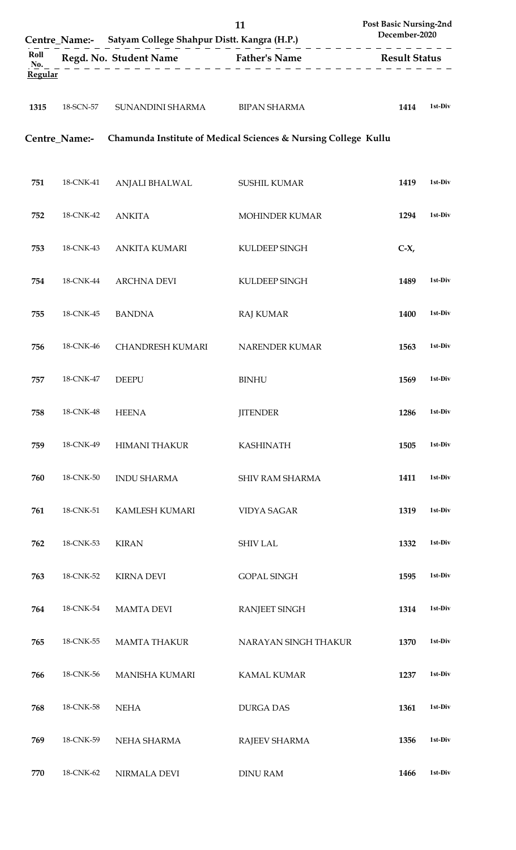|                |               |                         | 11<br>Centre_Name:- Satyam College Shahpur Distt. Kangra (H.P.)                                                     | Post Basic Nursing-2nd<br>December-2020                                                                                                                                                                                                                                                                                                                                                                                                                                                |
|----------------|---------------|-------------------------|---------------------------------------------------------------------------------------------------------------------|----------------------------------------------------------------------------------------------------------------------------------------------------------------------------------------------------------------------------------------------------------------------------------------------------------------------------------------------------------------------------------------------------------------------------------------------------------------------------------------|
| Roll<br>No.    |               |                         | Regd. No. Student Name<br>$\frac{1}{2}$ Father's Name<br>$\frac{1}{2}$ Result Status<br>$\frac{1}{2}$ Result Status | $\begin{array}{cccccccccccccc} \multicolumn{2}{c}{} & \multicolumn{2}{c}{} & \multicolumn{2}{c}{} & \multicolumn{2}{c}{} & \multicolumn{2}{c}{} & \multicolumn{2}{c}{} & \multicolumn{2}{c}{} & \multicolumn{2}{c}{} & \multicolumn{2}{c}{} & \multicolumn{2}{c}{} & \multicolumn{2}{c}{} & \multicolumn{2}{c}{} & \multicolumn{2}{c}{} & \multicolumn{2}{c}{} & \multicolumn{2}{c}{} & \multicolumn{2}{c}{} & \multicolumn{2}{c}{} & \multicolumn{2}{c}{} & \multicolumn{2}{c}{} & \$ |
| <b>Regular</b> |               |                         |                                                                                                                     |                                                                                                                                                                                                                                                                                                                                                                                                                                                                                        |
| 1315           | 18-SCN-57     | SUNANDINI SHARMA        | <b>BIPAN SHARMA</b>                                                                                                 | 1st-Div<br>1414                                                                                                                                                                                                                                                                                                                                                                                                                                                                        |
|                | Centre Name:- |                         | Chamunda Institute of Medical Sciences & Nursing College Kullu                                                      |                                                                                                                                                                                                                                                                                                                                                                                                                                                                                        |
| 751            | 18-CNK-41     | ANJALI BHALWAL          | <b>SUSHIL KUMAR</b>                                                                                                 | 1st-Div<br>1419                                                                                                                                                                                                                                                                                                                                                                                                                                                                        |
| 752            | 18-CNK-42     | <b>ANKITA</b>           | MOHINDER KUMAR                                                                                                      | 1st-Div<br>1294                                                                                                                                                                                                                                                                                                                                                                                                                                                                        |
| 753            | 18-CNK-43     | <b>ANKITA KUMARI</b>    | KULDEEP SINGH                                                                                                       | $C-X$                                                                                                                                                                                                                                                                                                                                                                                                                                                                                  |
| 754            | 18-CNK-44     | <b>ARCHNA DEVI</b>      | KULDEEP SINGH                                                                                                       | 1st-Div<br>1489                                                                                                                                                                                                                                                                                                                                                                                                                                                                        |
| 755            | 18-CNK-45     | <b>BANDNA</b>           | <b>RAJ KUMAR</b>                                                                                                    | 1st-Div<br>1400                                                                                                                                                                                                                                                                                                                                                                                                                                                                        |
| 756            | 18-CNK-46     | <b>CHANDRESH KUMARI</b> | NARENDER KUMAR                                                                                                      | 1st-Div<br>1563                                                                                                                                                                                                                                                                                                                                                                                                                                                                        |
| 757            | 18-CNK-47     | <b>DEEPU</b>            | <b>BINHU</b>                                                                                                        | 1st-Div<br>1569                                                                                                                                                                                                                                                                                                                                                                                                                                                                        |
| 758            | 18-CNK-48     | <b>HEENA</b>            | <b>JITENDER</b>                                                                                                     | 1st-Div<br>1286                                                                                                                                                                                                                                                                                                                                                                                                                                                                        |
| 759            | 18-CNK-49     | <b>HIMANI THAKUR</b>    | <b>KASHINATH</b>                                                                                                    | 1st-Div<br>1505                                                                                                                                                                                                                                                                                                                                                                                                                                                                        |
| 760            | 18-CNK-50     | <b>INDU SHARMA</b>      | SHIV RAM SHARMA                                                                                                     | 1st-Div<br>1411                                                                                                                                                                                                                                                                                                                                                                                                                                                                        |
| 761            | 18-CNK-51     | KAMLESH KUMARI          | <b>VIDYA SAGAR</b>                                                                                                  | 1319<br>1st-Div                                                                                                                                                                                                                                                                                                                                                                                                                                                                        |
| 762            | 18-CNK-53     | <b>KIRAN</b>            | <b>SHIV LAL</b>                                                                                                     | 1st-Div<br>1332                                                                                                                                                                                                                                                                                                                                                                                                                                                                        |
| 763            | 18-CNK-52     | <b>KIRNA DEVI</b>       | <b>GOPAL SINGH</b>                                                                                                  | 1st-Div<br>1595                                                                                                                                                                                                                                                                                                                                                                                                                                                                        |
| 764            | 18-CNK-54     | <b>MAMTA DEVI</b>       | <b>RANJEET SINGH</b>                                                                                                | 1st-Div<br>1314                                                                                                                                                                                                                                                                                                                                                                                                                                                                        |
| 765            | 18-CNK-55     | <b>MAMTA THAKUR</b>     | NARAYAN SINGH THAKUR                                                                                                | 1st-Div<br>1370                                                                                                                                                                                                                                                                                                                                                                                                                                                                        |
| 766            | 18-CNK-56     | <b>MANISHA KUMARI</b>   | <b>KAMAL KUMAR</b>                                                                                                  | 1st-Div<br>1237                                                                                                                                                                                                                                                                                                                                                                                                                                                                        |
| 768            | 18-CNK-58     | <b>NEHA</b>             | <b>DURGA DAS</b>                                                                                                    | 1st-Div<br>1361                                                                                                                                                                                                                                                                                                                                                                                                                                                                        |
| 769            | 18-CNK-59     | NEHA SHARMA             | RAJEEV SHARMA                                                                                                       | 1st-Div<br>1356                                                                                                                                                                                                                                                                                                                                                                                                                                                                        |
| 770            | 18-CNK-62     | NIRMALA DEVI            | DINU RAM                                                                                                            | 1st-Div<br>1466                                                                                                                                                                                                                                                                                                                                                                                                                                                                        |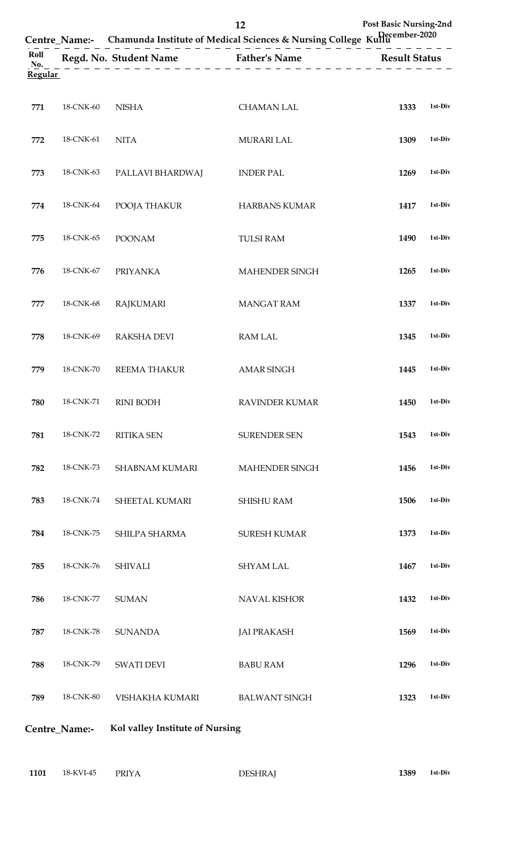|                |               |                                 | 12<br>Centre_Name:- Chamunda Institute of Medical Sciences & Nursing College Kullu Recember-2020 | <b>Post Basic Nursing-2nd</b> |         |
|----------------|---------------|---------------------------------|--------------------------------------------------------------------------------------------------|-------------------------------|---------|
| Roll<br>No.    |               |                                 | Regd. No. Student Name Father's Name Result Status                                               |                               |         |
| <b>Regular</b> |               |                                 | __________________________                                                                       |                               |         |
| 771            | 18-CNK-60     | <b>NISHA</b>                    | <b>CHAMAN LAL</b>                                                                                | 1333                          | 1st-Div |
| 772            | 18-CNK-61     | <b>NITA</b>                     | <b>MURARI LAL</b>                                                                                | 1309                          | 1st-Div |
| 773            | 18-CNK-63     | PALLAVI BHARDWAJ                | <b>INDER PAL</b>                                                                                 | 1269                          | 1st-Div |
| 774            | 18-CNK-64     | POOJA THAKUR                    | <b>HARBANS KUMAR</b>                                                                             | 1417                          | 1st-Div |
| 775            | 18-CNK-65     | <b>POONAM</b>                   | <b>TULSI RAM</b>                                                                                 | 1490                          | 1st-Div |
| 776            | 18-CNK-67     | <b>PRIYANKA</b>                 | MAHENDER SINGH                                                                                   | 1265                          | 1st-Div |
| 777            | 18-CNK-68     | <b>RAJKUMARI</b>                | <b>MANGAT RAM</b>                                                                                | 1337                          | 1st-Div |
| 778            | 18-CNK-69     | <b>RAKSHA DEVI</b>              | <b>RAM LAL</b>                                                                                   | 1345                          | 1st-Div |
| 779            | 18-CNK-70     | REEMA THAKUR                    | <b>AMAR SINGH</b>                                                                                | 1445                          | 1st-Div |
| 780            | 18-CNK-71     | <b>RINI BODH</b>                | <b>RAVINDER KUMAR</b>                                                                            | 1450                          | 1st-Div |
| 781            | 18-CNK-72     | <b>RITIKA SEN</b>               | <b>SURENDER SEN</b>                                                                              | 1543                          | 1st-Div |
| 782            | 18-CNK-73     | <b>SHABNAM KUMARI</b>           | MAHENDER SINGH                                                                                   | 1456                          | 1st-Div |
| 783            | 18-CNK-74     | SHEETAL KUMARI                  | <b>SHISHU RAM</b>                                                                                | 1506                          | 1st-Div |
| 784            | 18-CNK-75     | SHILPA SHARMA                   | <b>SURESH KUMAR</b>                                                                              | 1373                          | 1st-Div |
| 785            | 18-CNK-76     | <b>SHIVALI</b>                  | <b>SHYAM LAL</b>                                                                                 | 1467                          | 1st-Div |
| 786            | 18-CNK-77     | <b>SUMAN</b>                    | <b>NAVAL KISHOR</b>                                                                              | 1432                          | 1st-Div |
| 787            | 18-CNK-78     | <b>SUNANDA</b>                  | <b>JAI PRAKASH</b>                                                                               | 1569                          | 1st-Div |
| 788            | 18-CNK-79     | <b>SWATI DEVI</b>               | <b>BABU RAM</b>                                                                                  | 1296                          | 1st-Div |
| 789            | 18-CNK-80     | VISHAKHA KUMARI                 | <b>BALWANT SINGH</b>                                                                             | 1323                          | 1st-Div |
|                | Centre_Name:- | Kol valley Institute of Nursing |                                                                                                  |                               |         |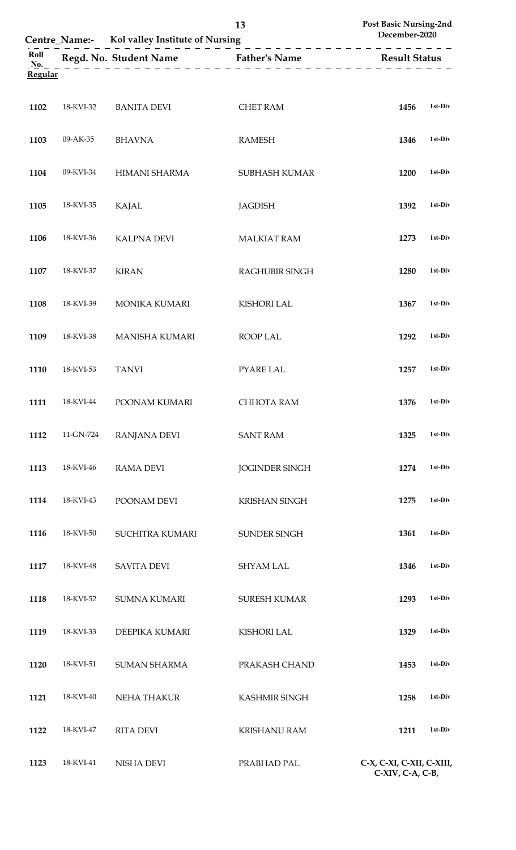| <b>Centre_Name:-</b> |           | 13<br>Kol valley Institute of Nursing |                      | Post Basic Nursing-2nd<br>December-2020 |         |
|----------------------|-----------|---------------------------------------|----------------------|-----------------------------------------|---------|
| Roll<br>No.          |           | Regd. No. Student Name                | <b>Father's Name</b> | <b>Result Status</b>                    |         |
| Regular              |           |                                       |                      |                                         |         |
| 1102                 | 18-KVI-32 | <b>BANITA DEVI</b>                    | <b>CHET RAM</b>      | 1456                                    | 1st-Div |
| 1103                 | 09-AK-35  | <b>BHAVNA</b>                         | <b>RAMESH</b>        | 1346                                    | 1st-Div |
| 1104                 | 09-KVI-34 | <b>HIMANI SHARMA</b>                  | <b>SUBHASH KUMAR</b> | 1200                                    | 1st-Div |
| 1105                 | 18-KVI-35 | KAJAL                                 | <b>JAGDISH</b>       | 1392                                    | 1st-Div |

| 1107 | 18-KVI-37 | <b>KIRAN</b>  | RAGHUBIR SINGH | 1280 | 1st-Div |
|------|-----------|---------------|----------------|------|---------|
| 1108 | 18-KVI-39 | MONIKA KUMARI | KISHORI LAL    | 1367 | 1st-Div |

18-KVI-36 KALPNA DEVI MALKIAT RAM **1273 1st-Div**

| 1109 | 18-KVI-38 | MANISHA KUMARI | ROOP LAL | 1292 | 1st-Div |
|------|-----------|----------------|----------|------|---------|

| 1110 | 18-KVI-53 | <b>TANVI</b>  | PYARE LAL       | 1257 | 1st-Div |
|------|-----------|---------------|-----------------|------|---------|
| 1111 | 18-KVI-44 | POONAM KUMARI | CHHOTA RAM      | 1376 | 1st-Div |
| 1112 | 11-GN-724 | RANJANA DEVI  | <b>SANT RAM</b> | 1325 | 1st-Div |
|      |           |               |                 |      |         |

| 1113 | 18-KVI-46 | RAMA DEVI   | <b>JOGINDER SINGH</b> | 1274 | 1st-Div |
|------|-----------|-------------|-----------------------|------|---------|
| 1114 | 18-KVI-43 | POONAM DEVI | <b>KRISHAN SINGH</b>  | 1275 | 1st-Div |

| 1116 | 18-KVI-50 | SUCHITRA KUMARI | SUNDER SINGH | 1361 | 1st-Div |
|------|-----------|-----------------|--------------|------|---------|
| 1117 | 18-KVI-48 | SAVITA DEVI     | SHYAM LAL    | 1346 | 1st-Div |

| 1118 | 18-KVI-52 | SUMNA KUMARI   | <b>SURESH KUMAR</b> | 1293 | 1st-Div |
|------|-----------|----------------|---------------------|------|---------|
| 1119 | 18-KVI-33 | DEEPIKA KUMARI | KISHORI LAL         | 1329 | 1st-Div |

| 1120 | 18-KVI-51 | <b>SUMAN SHARMA</b> | PRAKASH CHAND | 1453 | 1st-Div |
|------|-----------|---------------------|---------------|------|---------|
| 1121 | 18-KVI-40 | NEHA THAKUR         | KASHMIR SINGH | 1258 | 1st-Div |
| 1122 | 18-KVI-47 | RITA DEVI           | KRISHANU RAM  | 1211 | 1st-Div |

 18-KVI-41 NISHA DEVI PRABHAD PAL **C-X, C-XI, C-XII, C-XIII, C-XIV, C-A, C-B,**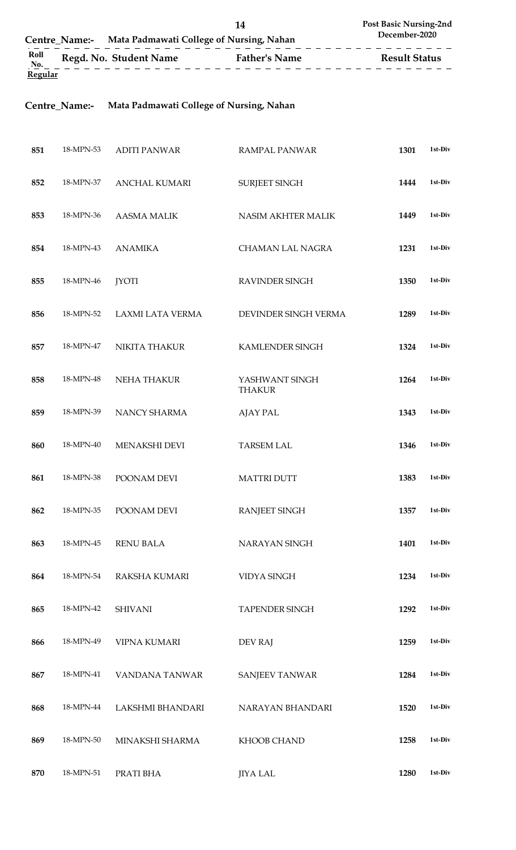**Centre\_Name:- Mata Padmawati College of Nursing, Nahan**

| 851 | 18-MPN-53 | <b>ADITI PANWAR</b>     | RAMPAL PANWAR                   | 1301 | 1st-Div |
|-----|-----------|-------------------------|---------------------------------|------|---------|
| 852 | 18-MPN-37 | <b>ANCHAL KUMARI</b>    | SURJEET SINGH                   | 1444 | 1st-Div |
| 853 | 18-MPN-36 | <b>AASMA MALIK</b>      | NASIM AKHTER MALIK              | 1449 | 1st-Div |
| 854 | 18-MPN-43 | <b>ANAMIKA</b>          | <b>CHAMAN LAL NAGRA</b>         | 1231 | 1st-Div |
| 855 | 18-MPN-46 | <b>JYOTI</b>            | RAVINDER SINGH                  | 1350 | 1st-Div |
| 856 | 18-MPN-52 | <b>LAXMI LATA VERMA</b> | DEVINDER SINGH VERMA            | 1289 | 1st-Div |
| 857 | 18-MPN-47 | <b>NIKITA THAKUR</b>    | <b>KAMLENDER SINGH</b>          | 1324 | 1st-Div |
| 858 | 18-MPN-48 | <b>NEHA THAKUR</b>      | YASHWANT SINGH<br><b>THAKUR</b> | 1264 | 1st-Div |
| 859 | 18-MPN-39 | NANCY SHARMA            | <b>AJAY PAL</b>                 | 1343 | 1st-Div |
| 860 | 18-MPN-40 | MENAKSHI DEVI           | <b>TARSEM LAL</b>               | 1346 | 1st-Div |
| 861 | 18-MPN-38 | POONAM DEVI             | <b>MATTRI DUTT</b>              | 1383 | 1st-Div |
| 862 | 18-MPN-35 | POONAM DEVI             | <b>RANJEET SINGH</b>            | 1357 | 1st-Div |
| 863 | 18-MPN-45 | <b>RENU BALA</b>        | <b>NARAYAN SINGH</b>            | 1401 | 1st-Div |
| 864 | 18-MPN-54 | <b>RAKSHA KUMARI</b>    | <b>VIDYA SINGH</b>              | 1234 | 1st-Div |
| 865 | 18-MPN-42 | <b>SHIVANI</b>          | <b>TAPENDER SINGH</b>           | 1292 | 1st-Div |
| 866 | 18-MPN-49 | <b>VIPNA KUMARI</b>     | DEV RAJ                         | 1259 | 1st-Div |
| 867 | 18-MPN-41 | VANDANA TANWAR          | <b>SANJEEV TANWAR</b>           | 1284 | 1st-Div |
| 868 | 18-MPN-44 | LAKSHMI BHANDARI        | NARAYAN BHANDARI                | 1520 | 1st-Div |
| 869 | 18-MPN-50 | MINAKSHI SHARMA         | KHOOB CHAND                     | 1258 | 1st-Div |
| 870 | 18-MPN-51 | PRATI BHA               | <b>JIYA LAL</b>                 | 1280 | 1st-Div |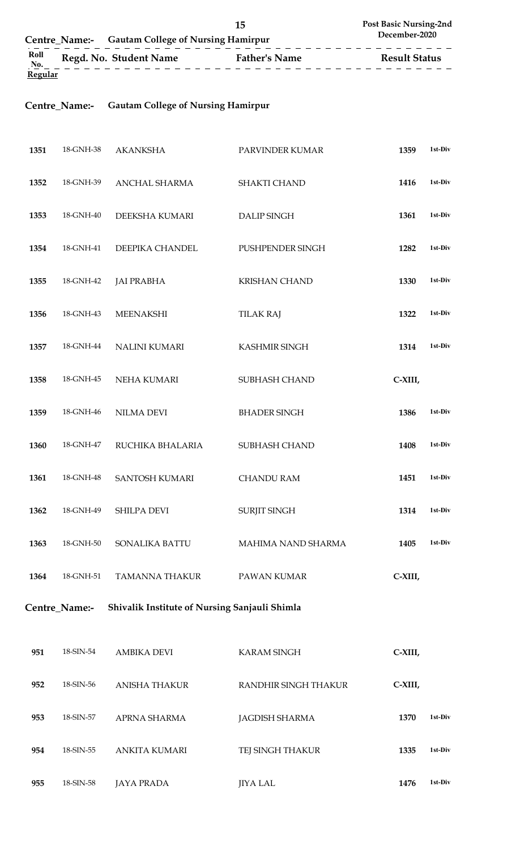|               | Centre Name:- Gautam College of Nursing Hamirpur | 15                   | Post Basic Nursing-2nd<br>December-2020 |
|---------------|--------------------------------------------------|----------------------|-----------------------------------------|
| Roll<br>$N_0$ | Regd. No. Student Name                           | <b>Father's Name</b> | <b>Result Status</b>                    |

**Regular**

**Centre\_Name:- Gautam College of Nursing Hamirpur** 

| 1351 | 18-GNH-38     | <b>AKANKSHA</b>                               | PARVINDER KUMAR       | 1359    | 1st-Div |
|------|---------------|-----------------------------------------------|-----------------------|---------|---------|
| 1352 | 18-GNH-39     | <b>ANCHAL SHARMA</b>                          | <b>SHAKTI CHAND</b>   | 1416    | 1st-Div |
| 1353 | 18-GNH-40     | DEEKSHA KUMARI                                | DALIP SINGH           | 1361    | 1st-Div |
| 1354 | 18-GNH-41     | DEEPIKA CHANDEL                               | PUSHPENDER SINGH      | 1282    | 1st-Div |
| 1355 | 18-GNH-42     | <b>JAI PRABHA</b>                             | <b>KRISHAN CHAND</b>  | 1330    | 1st-Div |
| 1356 | 18-GNH-43     | <b>MEENAKSHI</b>                              | <b>TILAK RAJ</b>      | 1322    | 1st-Div |
| 1357 | 18-GNH-44     | NALINI KUMARI                                 | KASHMIR SINGH         | 1314    | 1st-Div |
| 1358 | 18-GNH-45     | NEHA KUMARI                                   | SUBHASH CHAND         | C-XIII, |         |
| 1359 | 18-GNH-46     | NILMA DEVI                                    | <b>BHADER SINGH</b>   | 1386    | 1st-Div |
| 1360 | 18-GNH-47     | RUCHIKA BHALARIA                              | SUBHASH CHAND         | 1408    | 1st-Div |
| 1361 | 18-GNH-48     | <b>SANTOSH KUMARI</b>                         | <b>CHANDU RAM</b>     | 1451    | 1st-Div |
| 1362 | 18-GNH-49     | <b>SHILPA DEVI</b>                            | <b>SURJIT SINGH</b>   | 1314    | 1st-Div |
| 1363 | 18-GNH-50     | SONALIKA BATTU                                | MAHIMA NAND SHARMA    | 1405    | 1st-Div |
| 1364 | 18-GNH-51     | <b>TAMANNA THAKUR</b>                         | PAWAN KUMAR           | C-XIII, |         |
|      | Centre Name:- | Shivalik Institute of Nursing Sanjauli Shimla |                       |         |         |
| 951  | 18-SIN-54     | <b>AMBIKA DEVI</b>                            | <b>KARAM SINGH</b>    | C-XIII, |         |
| 952  | 18-SIN-56     | <b>ANISHA THAKUR</b>                          | RANDHIR SINGH THAKUR  | C-XIII, |         |
| 953  | 18-SIN-57     | APRNA SHARMA                                  | <b>JAGDISH SHARMA</b> | 1370    | 1st-Div |
| 954  | 18-SIN-55     | <b>ANKITA KUMARI</b>                          | TEJ SINGH THAKUR      | 1335    | 1st-Div |
| 955  | 18-SIN-58     | <b>JAYA PRADA</b>                             | <b>JIYA LAL</b>       | 1476    | 1st-Div |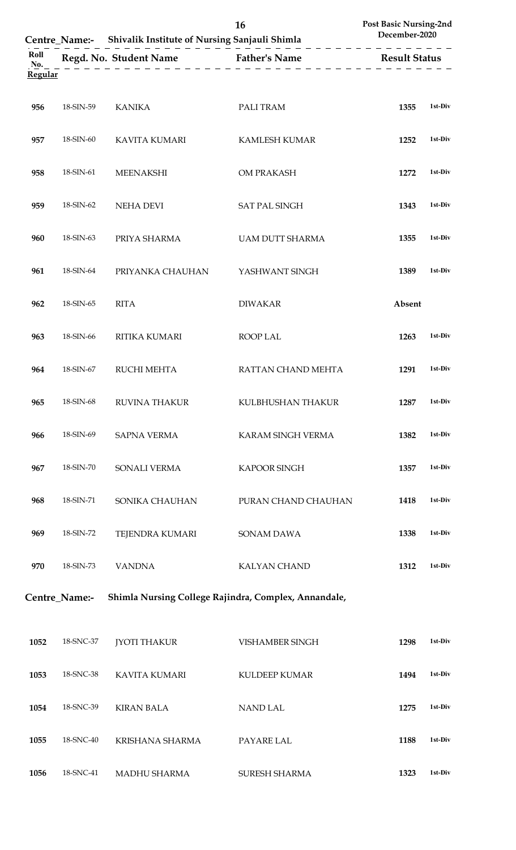|                               |               | Centre_Name:- Shivalik Institute of Nursing Sanjauli Shimla | 16                                                   | Post Basic Nursing-2nd<br>December-2020 |         |
|-------------------------------|---------------|-------------------------------------------------------------|------------------------------------------------------|-----------------------------------------|---------|
| Roll<br>No.<br><b>Regular</b> |               |                                                             | Regd. No. Student Name Father's Name Result Status   |                                         |         |
| 956                           | 18-SIN-59     | <b>KANIKA</b>                                               | PALI TRAM                                            | 1355                                    | 1st-Div |
| 957                           | 18-SIN-60     | <b>KAVITA KUMARI</b>                                        | <b>KAMLESH KUMAR</b>                                 | 1252                                    | 1st-Div |
| 958                           | 18-SIN-61     | <b>MEENAKSHI</b>                                            | OM PRAKASH                                           | 1272                                    | 1st-Div |
| 959                           | 18-SIN-62     | <b>NEHA DEVI</b>                                            | <b>SAT PAL SINGH</b>                                 | 1343                                    | 1st-Div |
| 960                           | 18-SIN-63     | PRIYA SHARMA                                                | <b>UAM DUTT SHARMA</b>                               | 1355                                    | 1st-Div |
| 961                           | 18-SIN-64     | PRIYANKA CHAUHAN                                            | YASHWANT SINGH                                       | 1389                                    | 1st-Div |
| 962                           | 18-SIN-65     | <b>RITA</b>                                                 | <b>DIWAKAR</b>                                       | Absent                                  |         |
| 963                           | 18-SIN-66     | <b>RITIKA KUMARI</b>                                        | ROOP LAL                                             | 1263                                    | 1st-Div |
| 964                           | 18-SIN-67     | <b>RUCHI MEHTA</b>                                          | RATTAN CHAND MEHTA                                   | 1291                                    | 1st-Div |
| 965                           | 18-SIN-68     | <b>RUVINA THAKUR</b>                                        | KULBHUSHAN THAKUR                                    | 1287                                    | 1st-Div |
| 966                           | 18-SIN-69     | <b>SAPNA VERMA</b>                                          | KARAM SINGH VERMA                                    | 1382                                    | 1st-Div |
| 967                           | 18-SIN-70     | SONALI VERMA                                                | KAPOOR SINGH                                         | 1357                                    | 1st-Div |
| 968                           | 18-SIN-71     | SONIKA CHAUHAN                                              | PURAN CHAND CHAUHAN                                  | 1418                                    | 1st-Div |
| 969                           | 18-SIN-72     | TEJENDRA KUMARI                                             | SONAM DAWA                                           | 1338                                    | 1st-Div |
| 970                           | 18-SIN-73     | <b>VANDNA</b>                                               | <b>KALYAN CHAND</b>                                  | 1312                                    | 1st-Div |
|                               | Centre_Name:- |                                                             | Shimla Nursing College Rajindra, Complex, Annandale, |                                         |         |
| 1052                          | 18-SNC-37     | <b>JYOTI THAKUR</b>                                         | VISHAMBER SINGH                                      | 1298                                    | 1st-Div |
| 1053                          | 18-SNC-38     | <b>KAVITA KUMARI</b>                                        | KULDEEP KUMAR                                        | 1494                                    | 1st-Div |
| 1054                          | 18-SNC-39     | <b>KIRAN BALA</b>                                           | <b>NAND LAL</b>                                      | 1275                                    | 1st-Div |
| 1055                          | 18-SNC-40     | KRISHANA SHARMA                                             | PAYARE LAL                                           | 1188                                    | 1st-Div |
| 1056                          | 18-SNC-41     | MADHU SHARMA                                                | SURESH SHARMA                                        | 1323                                    | 1st-Div |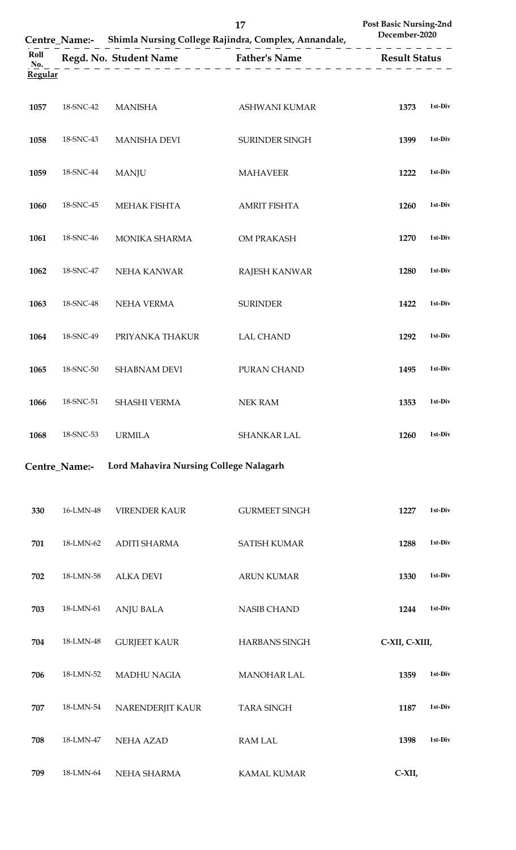|                |               |                                        | 17<br>Centre_Name:- Shimla Nursing College Rajindra, Complex, Annandale, | <b>Post Basic Nursing-2nd</b><br>December-2020 |
|----------------|---------------|----------------------------------------|--------------------------------------------------------------------------|------------------------------------------------|
| Roll<br>No.    |               | Regd. No. Student Name Father's Name   |                                                                          | <b>Result Status</b>                           |
| <b>Regular</b> |               |                                        |                                                                          |                                                |
| 1057           | 18-SNC-42     | <b>MANISHA</b>                         | <b>ASHWANI KUMAR</b>                                                     | 1st-Div<br>1373                                |
| 1058           | 18-SNC-43     | <b>MANISHA DEVI</b>                    | SURINDER SINGH                                                           | 1st-Div<br>1399                                |
| 1059           | 18-SNC-44     | <b>MANJU</b>                           | <b>MAHAVEER</b>                                                          | 1st-Div<br>1222                                |
| 1060           | 18-SNC-45     | <b>MEHAK FISHTA</b>                    | <b>AMRIT FISHTA</b>                                                      | 1st-Div<br>1260                                |
| 1061           | 18-SNC-46     | MONIKA SHARMA                          | OM PRAKASH                                                               | 1st-Div<br>1270                                |
| 1062           | 18-SNC-47     | <b>NEHA KANWAR</b>                     | <b>RAJESH KANWAR</b>                                                     | 1st-Div<br>1280                                |
| 1063           | 18-SNC-48     | NEHA VERMA                             | <b>SURINDER</b>                                                          | 1st-Div<br>1422                                |
| 1064           | 18-SNC-49     | PRIYANKA THAKUR                        | <b>LAL CHAND</b>                                                         | 1st-Div<br>1292                                |
| 1065           | 18-SNC-50     | <b>SHABNAM DEVI</b>                    | PURAN CHAND                                                              | 1st-Div<br>1495                                |
| 1066           | 18-SNC-51     | <b>SHASHI VERMA</b>                    | <b>NEK RAM</b>                                                           | 1353<br>1st-Div                                |
| 1068           | 18-SNC-53     | <b>URMILA</b>                          | <b>SHANKAR LAL</b>                                                       | 1st-Div<br>1260                                |
|                | Centre_Name:- | Lord Mahavira Nursing College Nalagarh |                                                                          |                                                |
|                |               |                                        |                                                                          |                                                |
| 330            | 16-LMN-48     | <b>VIRENDER KAUR</b>                   | <b>GURMEET SINGH</b>                                                     | 1st-Div<br>1227                                |
| 701            | 18-LMN-62     | <b>ADITI SHARMA</b>                    | <b>SATISH KUMAR</b>                                                      | 1st-Div<br>1288                                |
| 702            | 18-LMN-58     | <b>ALKA DEVI</b>                       | <b>ARUN KUMAR</b>                                                        | 1st-Div<br>1330                                |
| 703            | 18-LMN-61     | <b>ANJU BALA</b>                       | <b>NASIB CHAND</b>                                                       | 1st-Div<br>1244                                |
| 704            | 18-LMN-48     | <b>GURJEET KAUR</b>                    | HARBANS SINGH                                                            | C-XII, C-XIII,                                 |
| 706            | 18-LMN-52     | <b>MADHU NAGIA</b>                     | <b>MANOHAR LAL</b>                                                       | 1359<br>1st-Div                                |
| 707            | 18-LMN-54     | NARENDERJIT KAUR                       | <b>TARA SINGH</b>                                                        | 1st-Div<br>1187                                |
| 708            | 18-LMN-47     | <b>NEHA AZAD</b>                       | <b>RAM LAL</b>                                                           | 1st-Div<br>1398                                |
| 709            | 18-LMN-64     | NEHA SHARMA                            | <b>KAMAL KUMAR</b>                                                       | $C-XII,$                                       |